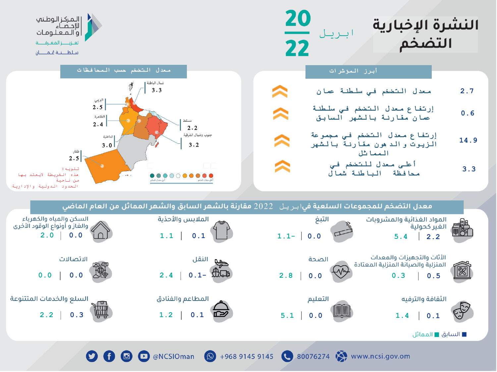



الحدود الدولية واإلدارية

**D G @ O** @NCSIOman **Q** +968 9145 9145 **C** 80076274 **Q** www.ncsi.gov.om